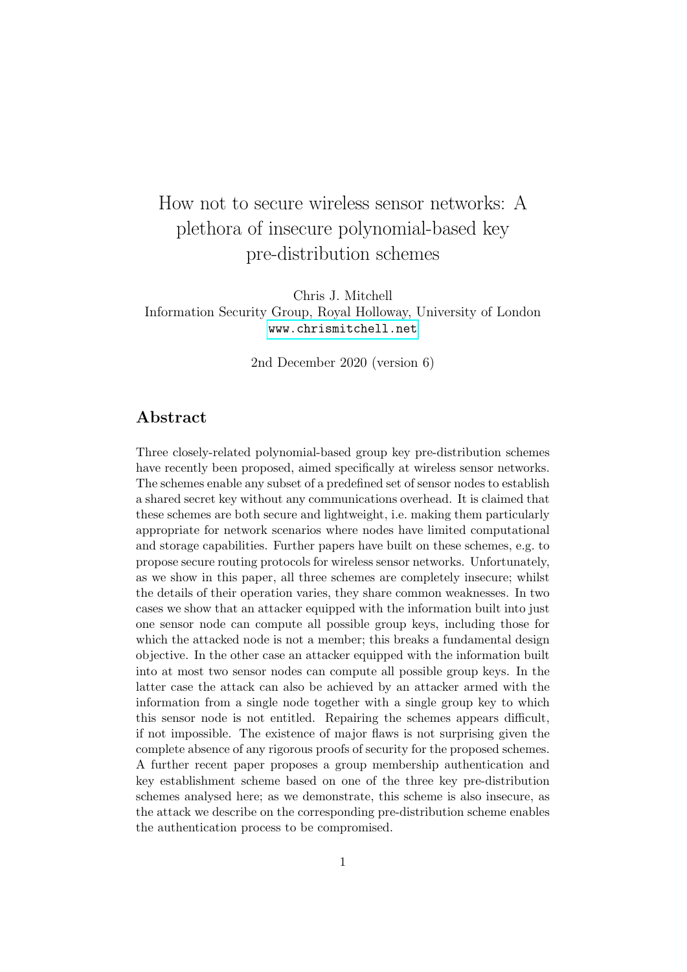# How not to secure wireless sensor networks: A plethora of insecure polynomial-based key pre-distribution schemes

Chris J. Mitchell Information Security Group, Royal Holloway, University of London <www.chrismitchell.net>

2nd December 2020 (version 6)

# Abstract

Three closely-related polynomial-based group key pre-distribution schemes have recently been proposed, aimed specifically at wireless sensor networks. The schemes enable any subset of a predefined set of sensor nodes to establish a shared secret key without any communications overhead. It is claimed that these schemes are both secure and lightweight, i.e. making them particularly appropriate for network scenarios where nodes have limited computational and storage capabilities. Further papers have built on these schemes, e.g. to propose secure routing protocols for wireless sensor networks. Unfortunately, as we show in this paper, all three schemes are completely insecure; whilst the details of their operation varies, they share common weaknesses. In two cases we show that an attacker equipped with the information built into just one sensor node can compute all possible group keys, including those for which the attacked node is not a member; this breaks a fundamental design objective. In the other case an attacker equipped with the information built into at most two sensor nodes can compute all possible group keys. In the latter case the attack can also be achieved by an attacker armed with the information from a single node together with a single group key to which this sensor node is not entitled. Repairing the schemes appears difficult, if not impossible. The existence of major flaws is not surprising given the complete absence of any rigorous proofs of security for the proposed schemes. A further recent paper proposes a group membership authentication and key establishment scheme based on one of the three key pre-distribution schemes analysed here; as we demonstrate, this scheme is also insecure, as the attack we describe on the corresponding pre-distribution scheme enables the authentication process to be compromised.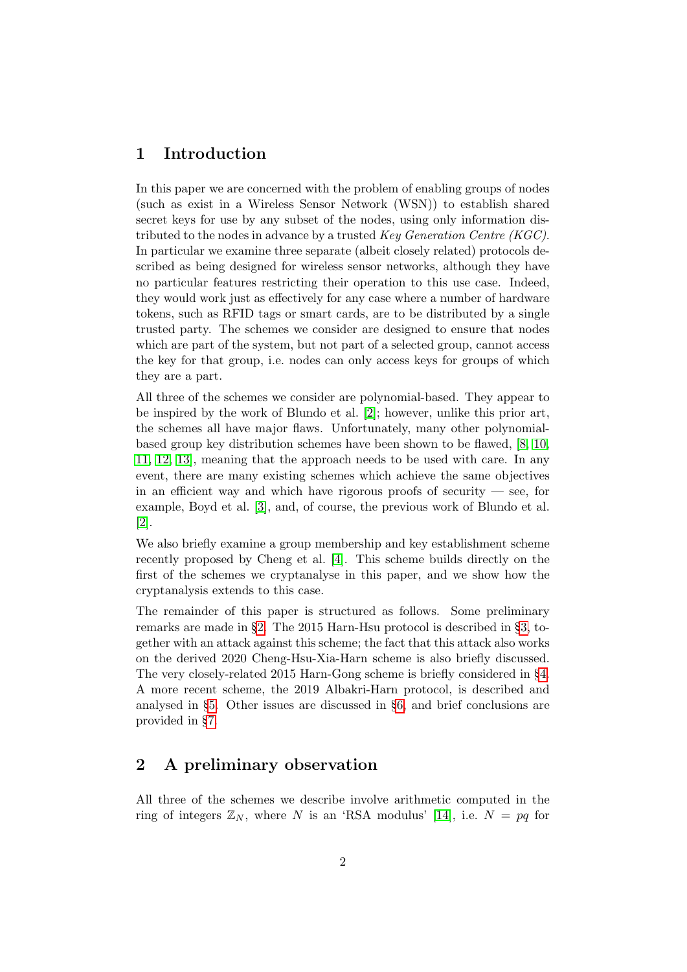# <span id="page-1-1"></span>1 Introduction

In this paper we are concerned with the problem of enabling groups of nodes (such as exist in a Wireless Sensor Network (WSN)) to establish shared secret keys for use by any subset of the nodes, using only information distributed to the nodes in advance by a trusted Key Generation Centre (KGC). In particular we examine three separate (albeit closely related) protocols described as being designed for wireless sensor networks, although they have no particular features restricting their operation to this use case. Indeed, they would work just as effectively for any case where a number of hardware tokens, such as RFID tags or smart cards, are to be distributed by a single trusted party. The schemes we consider are designed to ensure that nodes which are part of the system, but not part of a selected group, cannot access the key for that group, i.e. nodes can only access keys for groups of which they are a part.

All three of the schemes we consider are polynomial-based. They appear to be inspired by the work of Blundo et al. [\[2\]](#page-15-0); however, unlike this prior art, the schemes all have major flaws. Unfortunately, many other polynomialbased group key distribution schemes have been shown to be flawed, [\[8,](#page-16-0) [10,](#page-16-1) [11,](#page-16-2) [12,](#page-16-3) [13\]](#page-16-4), meaning that the approach needs to be used with care. In any event, there are many existing schemes which achieve the same objectives in an efficient way and which have rigorous proofs of security  $-$  see, for example, Boyd et al. [\[3\]](#page-15-1), and, of course, the previous work of Blundo et al. [\[2\]](#page-15-0).

We also briefly examine a group membership and key establishment scheme recently proposed by Cheng et al. [\[4\]](#page-15-2). This scheme builds directly on the first of the schemes we cryptanalyse in this paper, and we show how the cryptanalysis extends to this case.

The remainder of this paper is structured as follows. Some preliminary remarks are made in §[2.](#page-1-0) The 2015 Harn-Hsu protocol is described in §[3,](#page-2-0) together with an attack against this scheme; the fact that this attack also works on the derived 2020 Cheng-Hsu-Xia-Harn scheme is also briefly discussed. The very closely-related 2015 Harn-Gong scheme is briefly considered in §[4.](#page-7-0) A more recent scheme, the 2019 Albakri-Harn protocol, is described and analysed in §[5.](#page-7-1) Other issues are discussed in §[6,](#page-13-0) and brief conclusions are provided in §[7.](#page-15-3)

# <span id="page-1-0"></span>2 A preliminary observation

All three of the schemes we describe involve arithmetic computed in the ring of integers  $\mathbb{Z}_N$ , where N is an 'RSA modulus' [\[14\]](#page-16-5), i.e.  $N = pq$  for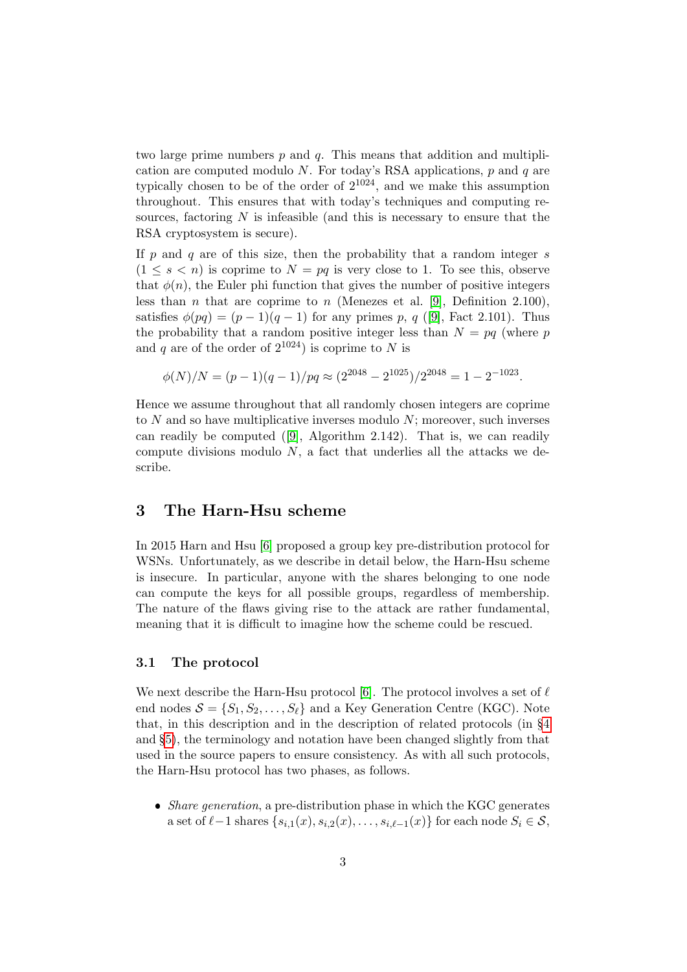two large prime numbers  $p$  and  $q$ . This means that addition and multiplication are computed modulo N. For today's RSA applications,  $p$  and  $q$  are typically chosen to be of the order of  $2^{1024}$ , and we make this assumption throughout. This ensures that with today's techniques and computing resources, factoring  $N$  is infeasible (and this is necessary to ensure that the RSA cryptosystem is secure).

If  $p$  and  $q$  are of this size, then the probability that a random integer  $s$  $(1 \leq s < n)$  is coprime to  $N = pq$  is very close to 1. To see this, observe that  $\phi(n)$ , the Euler phi function that gives the number of positive integers less than *n* that are coprime to *n* (Menezes et al. [\[9\]](#page-16-6), Definition 2.100), satisfies  $\phi(pq) = (p-1)(q-1)$  for any primes p, q ([\[9\]](#page-16-6), Fact 2.101). Thus the probability that a random positive integer less than  $N = pq$  (where p and q are of the order of  $2^{1024}$ ) is coprime to N is

$$
\phi(N)/N = (p-1)(q-1)/pq \approx (2^{2048} - 2^{1025})/2^{2048} = 1 - 2^{-1023}.
$$

Hence we assume throughout that all randomly chosen integers are coprime to  $N$  and so have multiplicative inverses modulo  $N$ ; moreover, such inverses can readily be computed ([\[9\]](#page-16-6), Algorithm 2.142). That is, we can readily compute divisions modulo  $N$ , a fact that underlies all the attacks we describe.

## <span id="page-2-0"></span>3 The Harn-Hsu scheme

In 2015 Harn and Hsu [\[6\]](#page-16-7) proposed a group key pre-distribution protocol for WSNs. Unfortunately, as we describe in detail below, the Harn-Hsu scheme is insecure. In particular, anyone with the shares belonging to one node can compute the keys for all possible groups, regardless of membership. The nature of the flaws giving rise to the attack are rather fundamental, meaning that it is difficult to imagine how the scheme could be rescued.

#### 3.1 The protocol

We next describe the Harn-Hsu protocol [\[6\]](#page-16-7). The protocol involves a set of  $\ell$ end nodes  $S = \{S_1, S_2, \ldots, S_\ell\}$  and a Key Generation Centre (KGC). Note that, in this description and in the description of related protocols (in §[4](#page-7-0) and §[5\)](#page-7-1), the terminology and notation have been changed slightly from that used in the source papers to ensure consistency. As with all such protocols, the Harn-Hsu protocol has two phases, as follows.

• *Share generation*, a pre-distribution phase in which the KGC generates a set of  $\ell-1$  shares  $\{s_{i,1}(x), s_{i,2}(x), \ldots, s_{i,\ell-1}(x)\}$  for each node  $S_i \in \mathcal{S}$ ,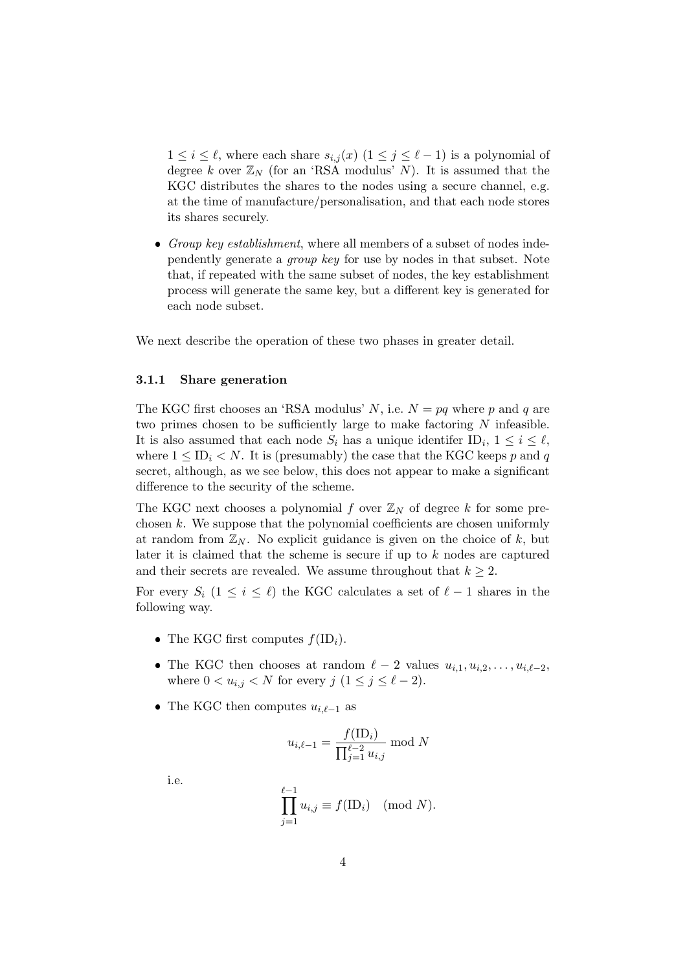$1 \leq i \leq \ell$ , where each share  $s_{i,j}(x)$   $(1 \leq j \leq \ell - 1)$  is a polynomial of degree k over  $\mathbb{Z}_N$  (for an 'RSA modulus' N). It is assumed that the KGC distributes the shares to the nodes using a secure channel, e.g. at the time of manufacture/personalisation, and that each node stores its shares securely.

• Group key establishment, where all members of a subset of nodes independently generate a group key for use by nodes in that subset. Note that, if repeated with the same subset of nodes, the key establishment process will generate the same key, but a different key is generated for each node subset.

We next describe the operation of these two phases in greater detail.

#### 3.1.1 Share generation

The KGC first chooses an 'RSA modulus' N, i.e.  $N = pq$  where p and q are two primes chosen to be sufficiently large to make factoring  $N$  infeasible. It is also assumed that each node  $S_i$  has a unique identifer  $ID_i$ ,  $1 \leq i \leq \ell$ , where  $1 \leq \text{ID}_i \leq N$ . It is (presumably) the case that the KGC keeps p and q secret, although, as we see below, this does not appear to make a significant difference to the security of the scheme.

The KGC next chooses a polynomial f over  $\mathbb{Z}_N$  of degree k for some prechosen  $k$ . We suppose that the polynomial coefficients are chosen uniformly at random from  $\mathbb{Z}_N$ . No explicit guidance is given on the choice of k, but later it is claimed that the scheme is secure if up to  $k$  nodes are captured and their secrets are revealed. We assume throughout that  $k \geq 2$ .

For every  $S_i$   $(1 \leq i \leq \ell)$  the KGC calculates a set of  $\ell - 1$  shares in the following way.

- The KGC first computes  $f(ID_i)$ .
- The KGC then chooses at random  $\ell 2$  values  $u_{i,1}, u_{i,2}, \ldots, u_{i,\ell-2}$ , where  $0 < u_{i,j} < N$  for every  $j \ (1 \leq j \leq \ell - 2)$ .
- The KGC then computes  $u_{i,\ell-1}$  as

$$
u_{i,\ell-1} = \frac{f(\text{ID}_i)}{\prod_{j=1}^{\ell-2} u_{i,j}} \mod N
$$

i.e.

$$
\prod_{j=1}^{\ell-1} u_{i,j} \equiv f(\text{ID}_i) \pmod{N}.
$$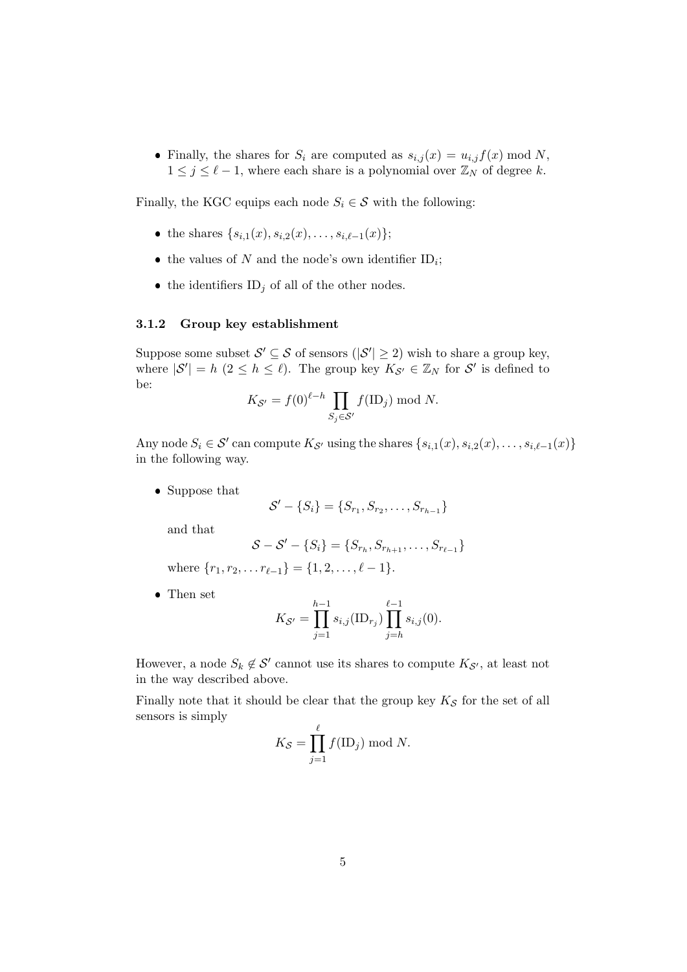• Finally, the shares for  $S_i$  are computed as  $s_{i,j}(x) = u_{i,j} f(x) \mod N$ ,  $1 \leq j \leq \ell - 1$ , where each share is a polynomial over  $\mathbb{Z}_N$  of degree k.

Finally, the KGC equips each node  $S_i \in \mathcal{S}$  with the following:

- the shares  $\{s_{i,1}(x), s_{i,2}(x), \ldots, s_{i,\ell-1}(x)\};$
- the values of N and the node's own identifier  $ID_i$ ;
- the identifiers  $ID_j$  of all of the other nodes.

#### <span id="page-4-0"></span>3.1.2 Group key establishment

Suppose some subset  $\mathcal{S}' \subseteq \mathcal{S}$  of sensors  $(|\mathcal{S}'| \geq 2)$  wish to share a group key, where  $|S'| = h \ (2 \leq h \leq \ell)$ . The group key  $K_{S'} \in \mathbb{Z}_N$  for  $S'$  is defined to be:

$$
K_{\mathcal{S}'} = f(0)^{\ell-h} \prod_{S_j \in \mathcal{S}'} f(\mathrm{ID}_j) \bmod N.
$$

Any node  $S_i \in \mathcal{S}'$  can compute  $K_{\mathcal{S}'}$  using the shares  $\{s_{i,1}(x), s_{i,2}(x), \ldots, s_{i,\ell-1}(x)\}\$ in the following way.

• Suppose that

$$
\mathcal{S}' - \{S_i\} = \{S_{r_1}, S_{r_2}, \dots, S_{r_{h-1}}\}
$$

and that

$$
S - S' - \{S_i\} = \{S_{r_h}, S_{r_{h+1}}, \ldots, S_{r_{\ell-1}}\}
$$

where  $\{r_1, r_2, \ldots r_{\ell-1}\} = \{1, 2, \ldots, \ell - 1\}.$ 

Then set

$$
K_{\mathcal{S}'} = \prod_{j=1}^{h-1} s_{i,j}(\text{ID}_{r_j}) \prod_{j=h}^{\ell-1} s_{i,j}(0).
$$

However, a node  $S_k \notin \mathcal{S}'$  cannot use its shares to compute  $K_{\mathcal{S}'}$ , at least not in the way described above.

Finally note that it should be clear that the group key  $K_{\mathcal{S}}$  for the set of all sensors is simply

$$
K_{\mathcal{S}} = \prod_{j=1}^{\ell} f(\text{ID}_j) \bmod N.
$$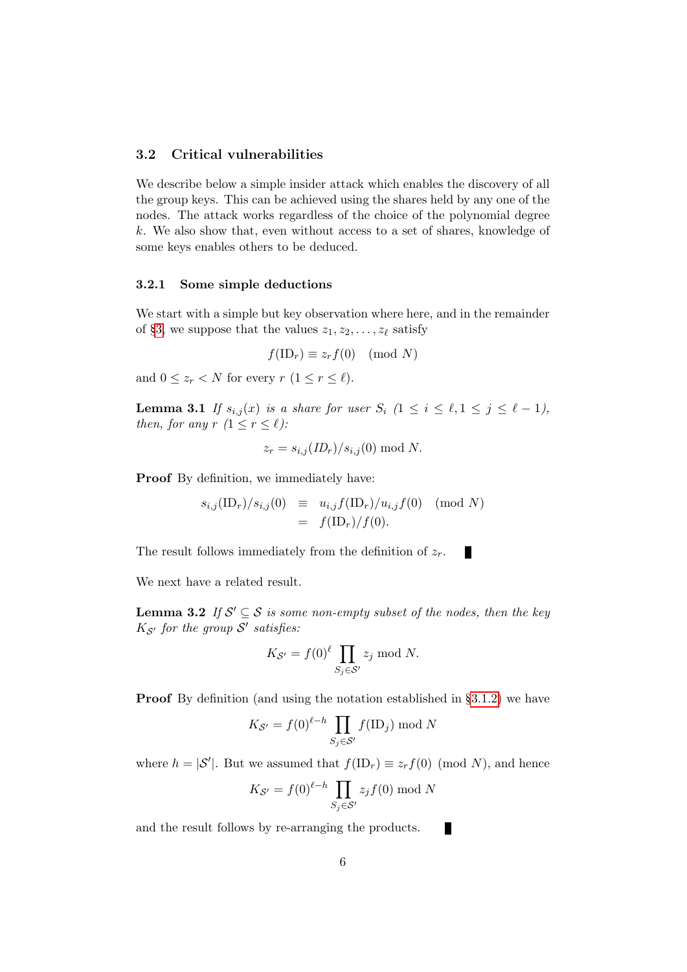#### 3.2 Critical vulnerabilities

We describe below a simple insider attack which enables the discovery of all the group keys. This can be achieved using the shares held by any one of the nodes. The attack works regardless of the choice of the polynomial degree k. We also show that, even without access to a set of shares, knowledge of some keys enables others to be deduced.

#### 3.2.1 Some simple deductions

We start with a simple but key observation where here, and in the remainder of §[3,](#page-2-0) we suppose that the values  $z_1, z_2, \ldots, z_\ell$  satisfy

$$
f(\text{ID}_r) \equiv z_r f(0) \pmod{N}
$$

<span id="page-5-0"></span>and  $0 \leq z_r \leq N$  for every  $r (1 \leq r \leq \ell)$ .

**Lemma 3.1** If  $s_{i,j}(x)$  is a share for user  $S_i$   $(1 \leq i \leq \ell, 1 \leq j \leq \ell - 1)$ , then, for any  $r (1 \leq r \leq \ell)$ :

$$
z_r = s_{i,j}(ID_r)/s_{i,j}(0) \bmod N.
$$

Proof By definition, we immediately have:

$$
s_{i,j}(\text{ID}_r)/s_{i,j}(0) \equiv u_{i,j}f(\text{ID}_r)/u_{i,j}f(0) \pmod{N} = f(\text{ID}_r)/f(0).
$$

×

The result follows immediately from the definition of  $z_r$ .

<span id="page-5-1"></span>We next have a related result.

**Lemma 3.2** If  $S' \subseteq S$  is some non-empty subset of the nodes, then the key  $K_{\mathcal{S}'}$  for the group  $\mathcal{S}'$  satisfies:

$$
K_{\mathcal{S}'} = f(0)^{\ell} \prod_{S_j \in \mathcal{S}'} z_j \bmod N.
$$

**Proof** By definition (and using the notation established in §[3.1.2\)](#page-4-0) we have

$$
K_{\mathcal{S}'} = f(0)^{\ell - h} \prod_{S_j \in \mathcal{S}'} f(\mathbf{ID}_j) \bmod N
$$

where  $h = |\mathcal{S}'|$ . But we assumed that  $f(\text{ID}_r) \equiv z_r f(0) \pmod{N}$ , and hence

$$
K_{\mathcal{S}'} = f(0)^{\ell-h} \prod_{S_j \in \mathcal{S}'} z_j f(0) \bmod N
$$

and the result follows by re-arranging the products. П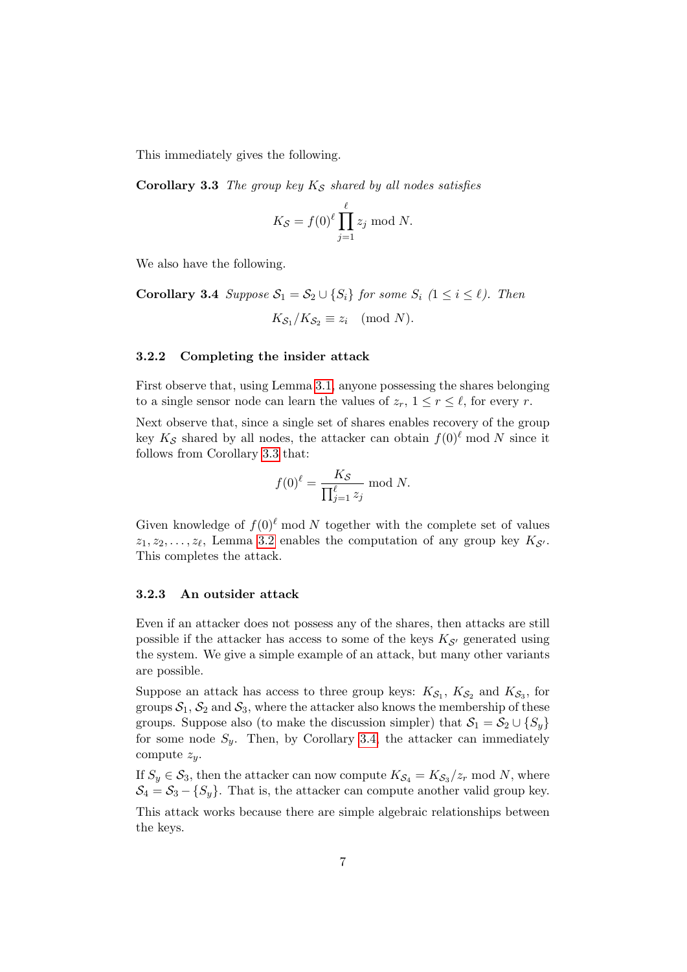<span id="page-6-0"></span>This immediately gives the following.

Corollary 3.3 The group key  $K_S$  shared by all nodes satisfies

$$
K_{\mathcal{S}} = f(0)^{\ell} \prod_{j=1}^{\ell} z_j \bmod N.
$$

<span id="page-6-1"></span>We also have the following.

**Corollary 3.4** Suppose 
$$
S_1 = S_2 \cup \{S_i\}
$$
 for some  $S_i$   $(1 \le i \le \ell)$ . Then  

$$
K_{S_1}/K_{S_2} \equiv z_i \pmod{N}.
$$

#### 3.2.2 Completing the insider attack

First observe that, using Lemma [3.1,](#page-5-0) anyone possessing the shares belonging to a single sensor node can learn the values of  $z_r$ ,  $1 \leq r \leq \ell$ , for every r.

Next observe that, since a single set of shares enables recovery of the group key  $K_{\mathcal{S}}$  shared by all nodes, the attacker can obtain  $f(0)^{\ell}$  mod N since it follows from Corollary [3.3](#page-6-0) that:

$$
f(0)^{\ell} = \frac{K_{\mathcal{S}}}{\prod_{j=1}^{\ell} z_j} \text{ mod } N.
$$

Given knowledge of  $f(0)^\ell \mod N$  together with the complete set of values  $z_1, z_2, \ldots, z_\ell$ , Lemma [3.2](#page-5-1) enables the computation of any group key  $K_{\mathcal{S}'}$ . This completes the attack.

#### 3.2.3 An outsider attack

Even if an attacker does not possess any of the shares, then attacks are still possible if the attacker has access to some of the keys  $K_{S}$  generated using the system. We give a simple example of an attack, but many other variants are possible.

Suppose an attack has access to three group keys:  $K_{\mathcal{S}_1}$ ,  $K_{\mathcal{S}_2}$  and  $K_{\mathcal{S}_3}$ , for groups  $S_1$ ,  $S_2$  and  $S_3$ , where the attacker also knows the membership of these groups. Suppose also (to make the discussion simpler) that  $S_1 = S_2 \cup \{S_y\}$ for some node  $S_y$ . Then, by Corollary [3.4,](#page-6-1) the attacker can immediately compute  $z_y$ .

If  $S_y \in S_3$ , then the attacker can now compute  $K_{S_4} = K_{S_3}/z_r$  mod N, where  $S_4 = S_3 - \{S_y\}$ . That is, the attacker can compute another valid group key.

This attack works because there are simple algebraic relationships between the keys.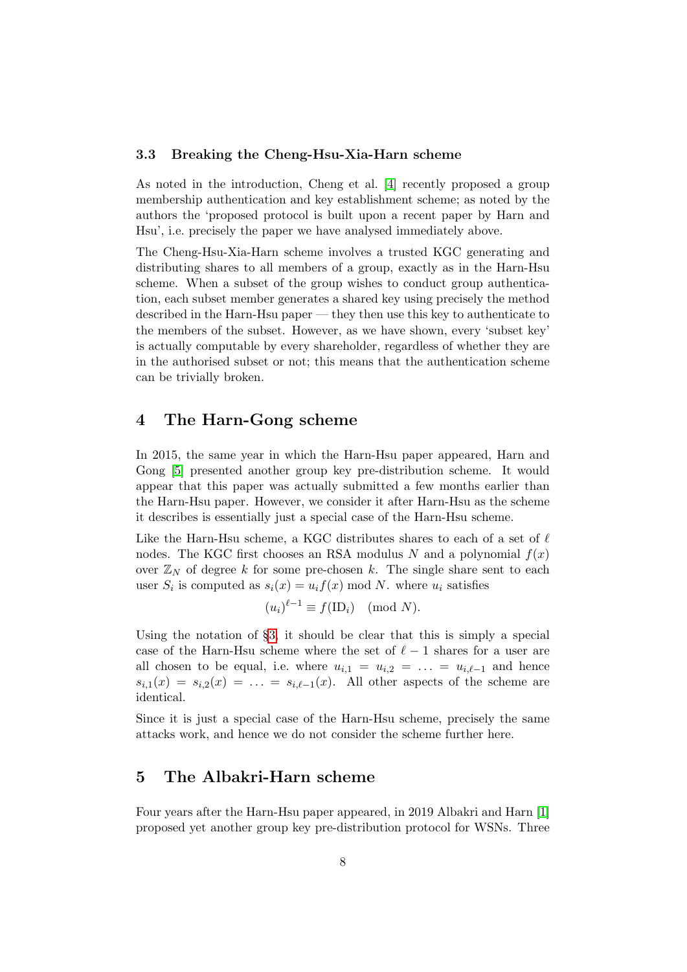#### 3.3 Breaking the Cheng-Hsu-Xia-Harn scheme

As noted in the introduction, Cheng et al. [\[4\]](#page-15-2) recently proposed a group membership authentication and key establishment scheme; as noted by the authors the 'proposed protocol is built upon a recent paper by Harn and Hsu', i.e. precisely the paper we have analysed immediately above.

The Cheng-Hsu-Xia-Harn scheme involves a trusted KGC generating and distributing shares to all members of a group, exactly as in the Harn-Hsu scheme. When a subset of the group wishes to conduct group authentication, each subset member generates a shared key using precisely the method described in the Harn-Hsu paper — they then use this key to authenticate to the members of the subset. However, as we have shown, every 'subset key' is actually computable by every shareholder, regardless of whether they are in the authorised subset or not; this means that the authentication scheme can be trivially broken.

## <span id="page-7-0"></span>4 The Harn-Gong scheme

In 2015, the same year in which the Harn-Hsu paper appeared, Harn and Gong [\[5\]](#page-16-8) presented another group key pre-distribution scheme. It would appear that this paper was actually submitted a few months earlier than the Harn-Hsu paper. However, we consider it after Harn-Hsu as the scheme it describes is essentially just a special case of the Harn-Hsu scheme.

Like the Harn-Hsu scheme, a KGC distributes shares to each of a set of  $\ell$ nodes. The KGC first chooses an RSA modulus N and a polynomial  $f(x)$ over  $\mathbb{Z}_N$  of degree k for some pre-chosen k. The single share sent to each user  $S_i$  is computed as  $s_i(x) = u_i f(x) \mod N$ . where  $u_i$  satisfies

$$
(u_i)^{\ell-1} \equiv f(\text{ID}_i) \pmod{N}.
$$

Using the notation of  $\S$ [3,](#page-2-0) it should be clear that this is simply a special case of the Harn-Hsu scheme where the set of  $\ell - 1$  shares for a user are all chosen to be equal, i.e. where  $u_{i,1} = u_{i,2} = \ldots = u_{i,\ell-1}$  and hence  $s_{i,1}(x) = s_{i,2}(x) = \ldots = s_{i,\ell-1}(x)$ . All other aspects of the scheme are identical.

Since it is just a special case of the Harn-Hsu scheme, precisely the same attacks work, and hence we do not consider the scheme further here.

### <span id="page-7-1"></span>5 The Albakri-Harn scheme

Four years after the Harn-Hsu paper appeared, in 2019 Albakri and Harn [\[1\]](#page-15-4) proposed yet another group key pre-distribution protocol for WSNs. Three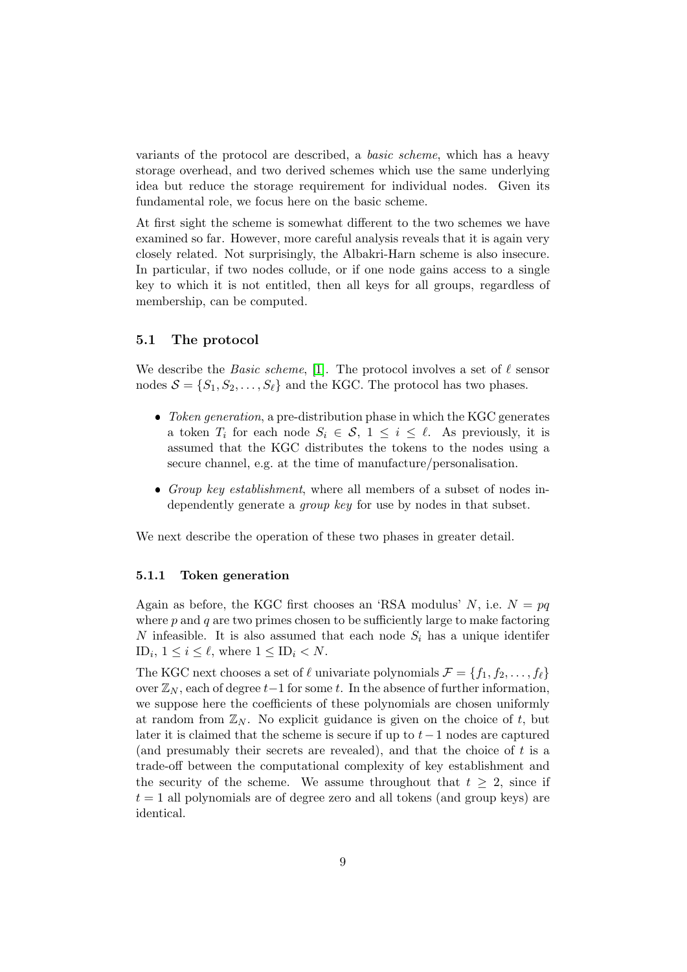variants of the protocol are described, a basic scheme, which has a heavy storage overhead, and two derived schemes which use the same underlying idea but reduce the storage requirement for individual nodes. Given its fundamental role, we focus here on the basic scheme.

At first sight the scheme is somewhat different to the two schemes we have examined so far. However, more careful analysis reveals that it is again very closely related. Not surprisingly, the Albakri-Harn scheme is also insecure. In particular, if two nodes collude, or if one node gains access to a single key to which it is not entitled, then all keys for all groups, regardless of membership, can be computed.

#### <span id="page-8-0"></span>5.1 The protocol

We describe the *Basic scheme*, [\[1\]](#page-15-4). The protocol involves a set of  $\ell$  sensor nodes  $S = \{S_1, S_2, \ldots, S_\ell\}$  and the KGC. The protocol has two phases.

- Token generation, a pre-distribution phase in which the KGC generates a token  $T_i$  for each node  $S_i \in \mathcal{S}, 1 \leq i \leq \ell$ . As previously, it is assumed that the KGC distributes the tokens to the nodes using a secure channel, e.g. at the time of manufacture/personalisation.
- Group key establishment, where all members of a subset of nodes independently generate a *group key* for use by nodes in that subset.

We next describe the operation of these two phases in greater detail.

#### 5.1.1 Token generation

Again as before, the KGC first chooses an 'RSA modulus' N, i.e.  $N = pq$ where  $p$  and  $q$  are two primes chosen to be sufficiently large to make factoring N infeasible. It is also assumed that each node  $S_i$  has a unique identifer ID<sub>i</sub>,  $1 \leq i \leq \ell$ , where  $1 \leq \text{ID}_i < N$ .

The KGC next chooses a set of  $\ell$  univariate polynomials  $\mathcal{F} = \{f_1, f_2, \ldots, f_\ell\}$ over  $\mathbb{Z}_N$ , each of degree  $t-1$  for some t. In the absence of further information, we suppose here the coefficients of these polynomials are chosen uniformly at random from  $\mathbb{Z}_N$ . No explicit guidance is given on the choice of t, but later it is claimed that the scheme is secure if up to  $t-1$  nodes are captured (and presumably their secrets are revealed), and that the choice of t is a trade-off between the computational complexity of key establishment and the security of the scheme. We assume throughout that  $t \geq 2$ , since if  $t = 1$  all polynomials are of degree zero and all tokens (and group keys) are identical.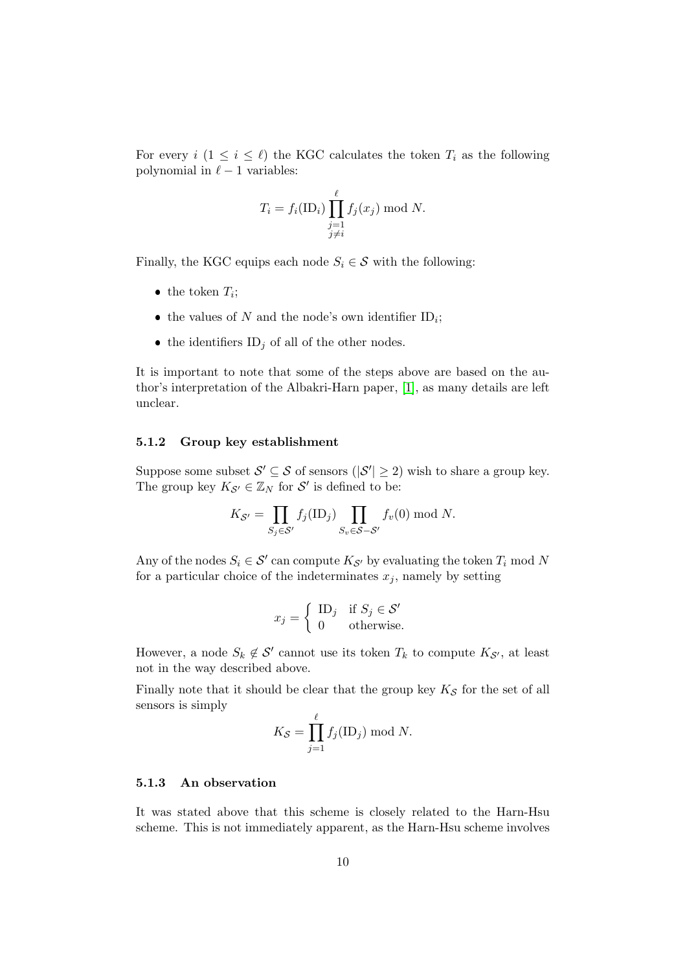For every  $i$   $(1 \leq i \leq \ell)$  the KGC calculates the token  $T_i$  as the following polynomial in  $\ell - 1$  variables:

$$
T_i = f_i(\mathrm{ID}_i) \prod_{\substack{j=1 \ j \neq i}}^{\ell} f_j(x_j) \bmod N.
$$

Finally, the KGC equips each node  $S_i \in \mathcal{S}$  with the following:

- the token  $T_i$ ;
- the values of N and the node's own identifier  $ID_i$ ;
- the identifiers  $ID_j$  of all of the other nodes.

It is important to note that some of the steps above are based on the author's interpretation of the Albakri-Harn paper, [\[1\]](#page-15-4), as many details are left unclear.

#### 5.1.2 Group key establishment

Suppose some subset  $\mathcal{S}' \subseteq \mathcal{S}$  of sensors  $(|\mathcal{S}'| \geq 2)$  wish to share a group key. The group key  $K_{\mathcal{S}'} \in \mathbb{Z}_N$  for  $\mathcal{S}'$  is defined to be:

$$
K_{\mathcal{S}'} = \prod_{S_j \in \mathcal{S}'} f_j(\text{ID}_j) \prod_{S_v \in \mathcal{S} - \mathcal{S}'} f_v(0) \bmod N.
$$

Any of the nodes  $S_i \in \mathcal{S}'$  can compute  $K_{\mathcal{S}'}$  by evaluating the token  $T_i$  mod N for a particular choice of the indeterminates  $x_j$ , namely by setting

$$
x_j = \begin{cases} \n\text{ID}_j & \text{if } S_j \in \mathcal{S}' \\ \n0 & \text{otherwise.} \n\end{cases}
$$

However, a node  $S_k \notin \mathcal{S}'$  cannot use its token  $T_k$  to compute  $K_{\mathcal{S}'},$  at least not in the way described above.

Finally note that it should be clear that the group key  $K_S$  for the set of all sensors is simply

$$
K_{\mathcal{S}} = \prod_{j=1}^{\ell} f_j(\mathbf{ID}_j) \bmod N.
$$

#### 5.1.3 An observation

It was stated above that this scheme is closely related to the Harn-Hsu scheme. This is not immediately apparent, as the Harn-Hsu scheme involves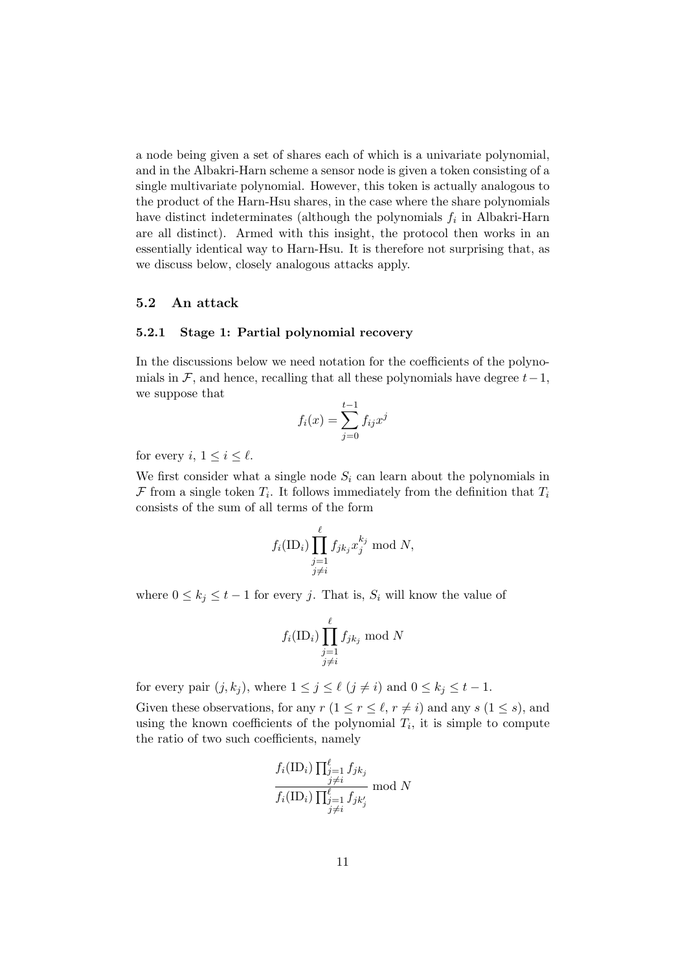a node being given a set of shares each of which is a univariate polynomial, and in the Albakri-Harn scheme a sensor node is given a token consisting of a single multivariate polynomial. However, this token is actually analogous to the product of the Harn-Hsu shares, in the case where the share polynomials have distinct indeterminates (although the polynomials  $f_i$  in Albakri-Harn are all distinct). Armed with this insight, the protocol then works in an essentially identical way to Harn-Hsu. It is therefore not surprising that, as we discuss below, closely analogous attacks apply.

#### <span id="page-10-1"></span>5.2 An attack

#### <span id="page-10-0"></span>5.2.1 Stage 1: Partial polynomial recovery

In the discussions below we need notation for the coefficients of the polynomials in F, and hence, recalling that all these polynomials have degree  $t-1$ , we suppose that

$$
f_i(x) = \sum_{j=0}^{t-1} f_{ij} x^j
$$

for every i,  $1 \leq i \leq \ell$ .

We first consider what a single node  $S_i$  can learn about the polynomials in  $\mathcal F$  from a single token  $T_i$ . It follows immediately from the definition that  $T_i$ consists of the sum of all terms of the form

$$
f_i(\text{ID}_i) \prod_{\substack{j=1 \ j \neq i}}^{\ell} f_{jk_j} x_j^{k_j} \text{ mod } N,
$$

where  $0 \leq k_j \leq t-1$  for every j. That is,  $S_i$  will know the value of

$$
f_i(\mathrm{ID}_i) \prod_{\substack{j=1 \ j \neq i}}^{\ell} f_{jk_j} \bmod N
$$

for every pair  $(j, k_j)$ , where  $1 \leq j \leq \ell \ (j \neq i)$  and  $0 \leq k_j \leq t - 1$ .

Given these observations, for any  $r (1 \leq r \leq \ell, r \neq i)$  and any  $s (1 \leq s)$ , and using the known coefficients of the polynomial  $T_i$ , it is simple to compute the ratio of two such coefficients, namely

$$
\frac{f_i(\mathrm{ID}_i) \prod_{\substack{j=1 \ j \neq i}}^{\ell} f_{jk_j}}{f_i(\mathrm{ID}_i) \prod_{\substack{j=1 \ j \neq i}}^{\ell} f_{jk'_j}} \mod N
$$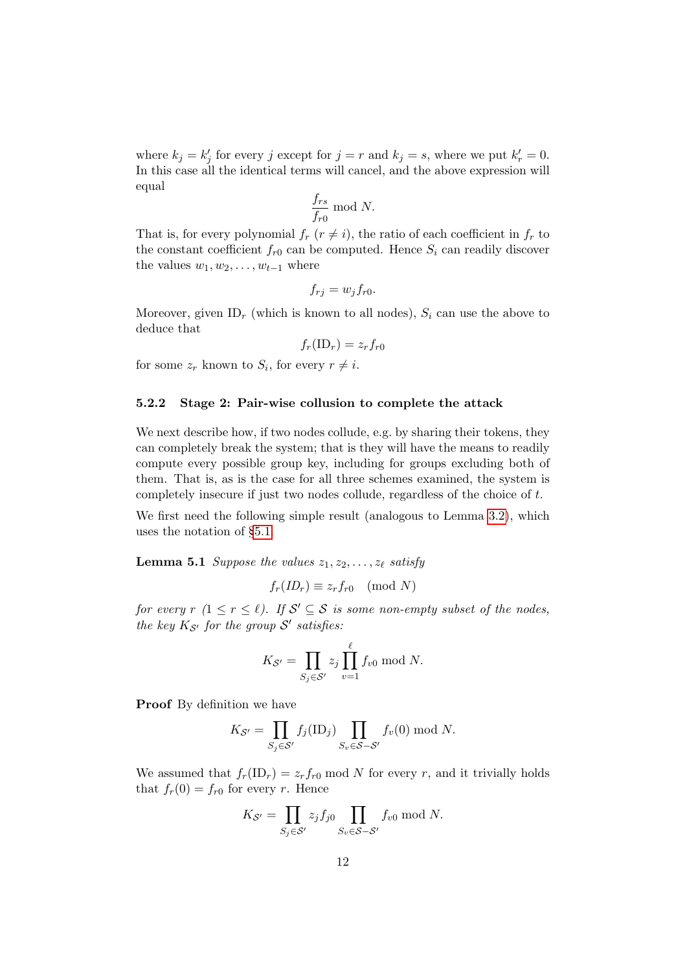where  $k_j = k'_j$  for every j except for  $j = r$  and  $k_j = s$ , where we put  $k'_r = 0$ . In this case all the identical terms will cancel, and the above expression will equal

$$
\frac{f_{rs}}{f_{r0}} \bmod N.
$$

That is, for every polynomial  $f_r$   $(r \neq i)$ , the ratio of each coefficient in  $f_r$  to the constant coefficient  $f_{r0}$  can be computed. Hence  $S_i$  can readily discover the values  $w_1, w_2, \ldots, w_{t-1}$  where

$$
f_{rj} = w_j f_{r0}.
$$

Moreover, given ID<sub>r</sub> (which is known to all nodes),  $S_i$  can use the above to deduce that

 $f_r(\text{ID}_r) = z_r f_{r0}$ 

for some  $z_r$  known to  $S_i$ , for every  $r \neq i$ .

#### <span id="page-11-1"></span>5.2.2 Stage 2: Pair-wise collusion to complete the attack

We next describe how, if two nodes collude, e.g. by sharing their tokens, they can completely break the system; that is they will have the means to readily compute every possible group key, including for groups excluding both of them. That is, as is the case for all three schemes examined, the system is completely insecure if just two nodes collude, regardless of the choice of t.

We first need the following simple result (analogous to Lemma [3.2\)](#page-5-1), which uses the notation of §[5.1.](#page-8-0)

<span id="page-11-0"></span>**Lemma 5.1** Suppose the values  $z_1, z_2, \ldots, z_\ell$  satisfy

 $f_r(ID_r) \equiv z_r f_{r0} \pmod{N}$ 

for every  $r (1 \le r \le \ell)$ . If  $S' \subseteq S$  is some non-empty subset of the nodes, the key  $K_{\mathcal{S}'}$  for the group  $\mathcal{S}'$  satisfies:

$$
K_{\mathcal{S}'} = \prod_{S_j \in \mathcal{S}'} z_j \prod_{v=1}^{r} f_{v0} \bmod N.
$$

 $\iota$ 

Proof By definition we have

$$
K_{\mathcal{S}'} = \prod_{S_j \in \mathcal{S}'} f_j(\text{ID}_j) \prod_{S_v \in \mathcal{S} - \mathcal{S}'} f_v(0) \bmod N.
$$

We assumed that  $f_r(\text{ID}_r) = z_r f_{r0} \text{ mod } N$  for every r, and it trivially holds that  $f_r(0) = f_{r0}$  for every r. Hence

$$
K_{\mathcal{S}'} = \prod_{S_j \in \mathcal{S}'} z_j f_{j0} \prod_{S_v \in \mathcal{S} - \mathcal{S}'} f_{v0} \bmod N.
$$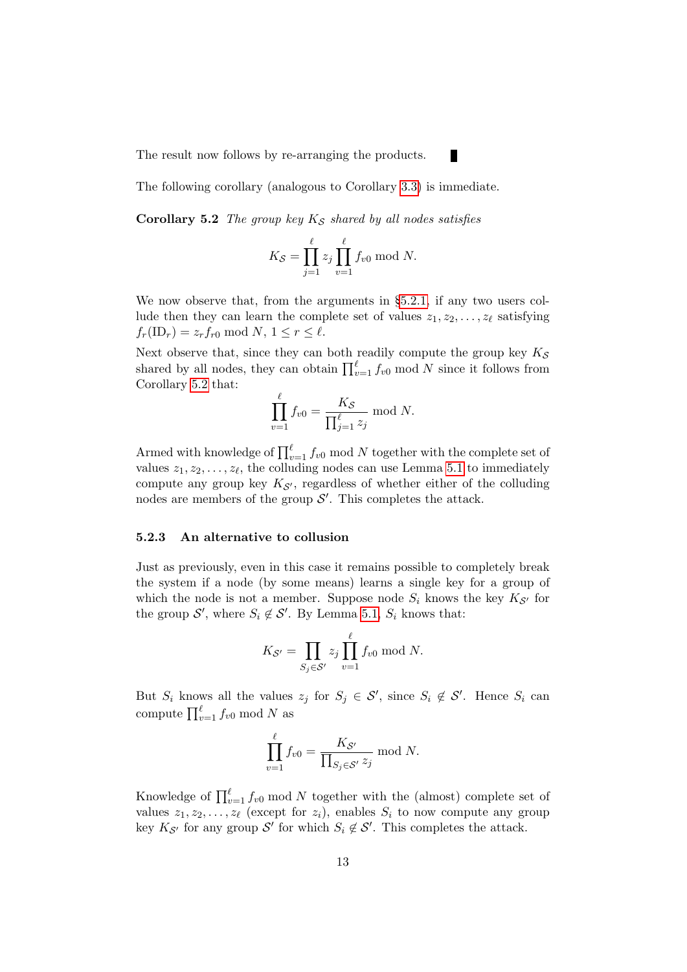The result now follows by re-arranging the products.

<span id="page-12-0"></span>The following corollary (analogous to Corollary [3.3\)](#page-6-0) is immediate.

Corollary 5.2 The group key  $K_S$  shared by all nodes satisfies

$$
K_{\mathcal{S}} = \prod_{j=1}^{\ell} z_j \prod_{v=1}^{\ell} f_{v0} \bmod N.
$$

×

We now observe that, from the arguments in  $\S 5.2.1$ , if any two users collude then they can learn the complete set of values  $z_1, z_2, \ldots, z_\ell$  satisfying  $f_r(\text{ID}_r) = z_r f_{r0} \text{ mod } N, 1 \leq r \leq \ell.$ 

Next observe that, since they can both readily compute the group key  $K_S$ shared by all nodes, they can obtain  $\prod_{v=1}^{\ell} f_{v0} \mod N$  since it follows from Corollary [5.2](#page-12-0) that:

$$
\prod_{v=1}^{\ell} f_{v0} = \frac{K_{\mathcal{S}}}{\prod_{j=1}^{\ell} z_j} \text{ mod } N.
$$

Armed with knowledge of  $\prod_{v=1}^{\ell} f_{v0} \mod N$  together with the complete set of values  $z_1, z_2, \ldots, z_\ell$ , the colluding nodes can use Lemma [5.1](#page-11-0) to immediately compute any group key  $K_{\mathcal{S}'}$ , regardless of whether either of the colluding nodes are members of the group  $\mathcal{S}'$ . This completes the attack.

#### <span id="page-12-1"></span>5.2.3 An alternative to collusion

Just as previously, even in this case it remains possible to completely break the system if a node (by some means) learns a single key for a group of which the node is not a member. Suppose node  $S_i$  knows the key  $K_{\mathcal{S}'}$  for the group  $\mathcal{S}'$ , where  $S_i \notin \mathcal{S}'$ . By Lemma [5.1,](#page-11-0)  $S_i$  knows that:

$$
K_{\mathcal{S}'} = \prod_{S_j \in \mathcal{S}'} z_j \prod_{v=1}^{\ell} f_{v0} \bmod N.
$$

But  $S_i$  knows all the values  $z_j$  for  $S_j \in \mathcal{S}'$ , since  $S_i \notin \mathcal{S}'$ . Hence  $S_i$  can compute  $\prod_{v=1}^{\ell} f_{v0} \mod N$  as

$$
\prod_{v=1}^{\ell} f_{v0} = \frac{K_{\mathcal{S}'}}{\prod_{S_j \in \mathcal{S}'} z_j} \mod N.
$$

Knowledge of  $\prod_{v=1}^{\ell} f_{v0}$  mod N together with the (almost) complete set of values  $z_1, z_2, \ldots, z_\ell$  (except for  $z_i$ ), enables  $S_i$  to now compute any group key  $K_{\mathcal{S}'}$  for any group  $\mathcal{S}'$  for which  $S_i \notin \mathcal{S}'$ . This completes the attack.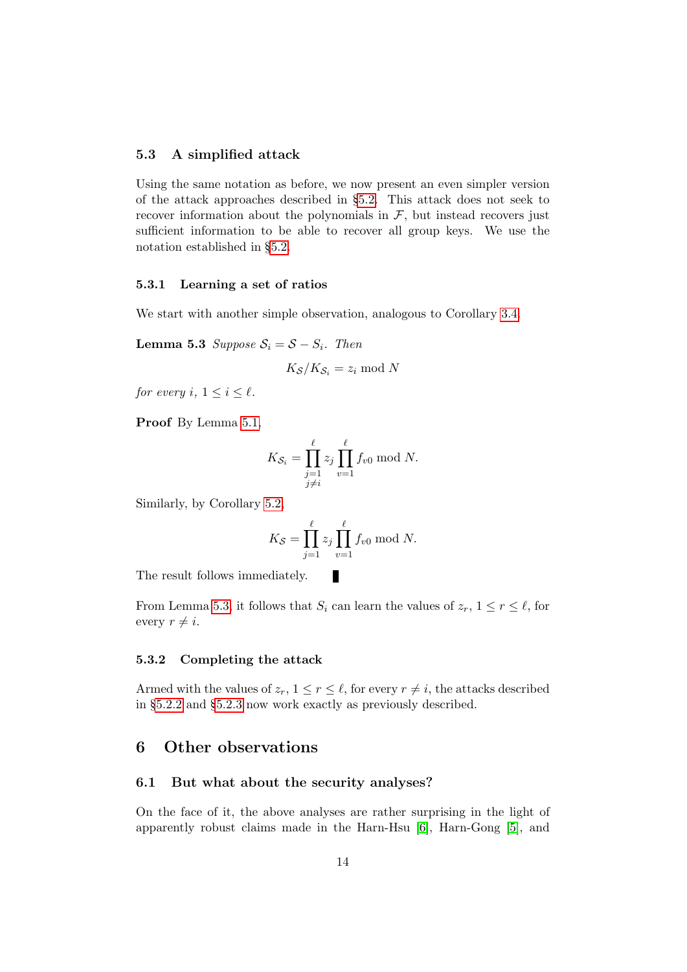#### 5.3 A simplified attack

Using the same notation as before, we now present an even simpler version of the attack approaches described in §[5.2.](#page-10-1) This attack does not seek to recover information about the polynomials in  $F$ , but instead recovers just sufficient information to be able to recover all group keys. We use the notation established in §[5.2.](#page-10-1)

#### 5.3.1 Learning a set of ratios

<span id="page-13-1"></span>We start with another simple observation, analogous to Corollary [3.4.](#page-6-1)

Lemma 5.3 Suppose  $S_i = S - S_i$ . Then

$$
K_{\mathcal{S}}/K_{\mathcal{S}_i} = z_i \bmod N
$$

for every i,  $1 \leq i \leq \ell$ .

Proof By Lemma [5.1,](#page-11-0)

$$
K_{\mathcal{S}_i} = \prod_{\substack{j=1 \ j \neq i}}^{\ell} z_j \prod_{v=1}^{\ell} f_{v0} \bmod N.
$$

Similarly, by Corollary [5.2,](#page-12-0)

$$
K_{\mathcal{S}} = \prod_{j=1}^{\ell} z_j \prod_{v=1}^{\ell} f_{v0} \bmod N.
$$

The result follows immediately.

From Lemma [5.3,](#page-13-1) it follows that  $S_i$  can learn the values of  $z_r$ ,  $1 \le r \le \ell$ , for every  $r \neq i$ .

и

#### 5.3.2 Completing the attack

Armed with the values of  $z_r$ ,  $1 \leq r \leq \ell$ , for every  $r \neq i$ , the attacks described in §[5.2.2](#page-11-1) and §[5.2.3](#page-12-1) now work exactly as previously described.

### <span id="page-13-0"></span>6 Other observations

#### 6.1 But what about the security analyses?

On the face of it, the above analyses are rather surprising in the light of apparently robust claims made in the Harn-Hsu [\[6\]](#page-16-7), Harn-Gong [\[5\]](#page-16-8), and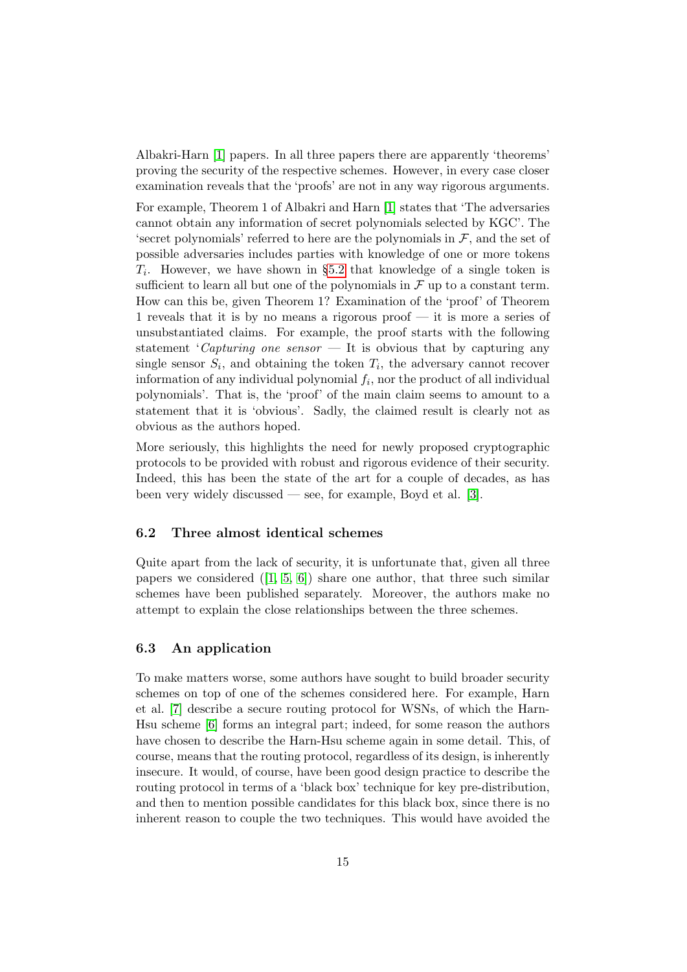Albakri-Harn [\[1\]](#page-15-4) papers. In all three papers there are apparently 'theorems' proving the security of the respective schemes. However, in every case closer examination reveals that the 'proofs' are not in any way rigorous arguments.

For example, Theorem 1 of Albakri and Harn [\[1\]](#page-15-4) states that 'The adversaries cannot obtain any information of secret polynomials selected by KGC'. The 'secret polynomials' referred to here are the polynomials in  $\mathcal{F}$ , and the set of possible adversaries includes parties with knowledge of one or more tokens  $T_i$ . However, we have shown in §[5.2](#page-10-1) that knowledge of a single token is sufficient to learn all but one of the polynomials in  $\mathcal F$  up to a constant term. How can this be, given Theorem 1? Examination of the 'proof' of Theorem 1 reveals that it is by no means a rigorous proof — it is more a series of unsubstantiated claims. For example, the proof starts with the following statement 'Capturing one sensor  $\overline{ }$  It is obvious that by capturing any single sensor  $S_i$ , and obtaining the token  $T_i$ , the adversary cannot recover information of any individual polynomial  $f_i$ , nor the product of all individual polynomials'. That is, the 'proof' of the main claim seems to amount to a statement that it is 'obvious'. Sadly, the claimed result is clearly not as obvious as the authors hoped.

More seriously, this highlights the need for newly proposed cryptographic protocols to be provided with robust and rigorous evidence of their security. Indeed, this has been the state of the art for a couple of decades, as has been very widely discussed — see, for example, Boyd et al. [\[3\]](#page-15-1).

#### 6.2 Three almost identical schemes

Quite apart from the lack of security, it is unfortunate that, given all three papers we considered  $([1, 5, 6])$  $([1, 5, 6])$  $([1, 5, 6])$  $([1, 5, 6])$  $([1, 5, 6])$  share one author, that three such similar schemes have been published separately. Moreover, the authors make no attempt to explain the close relationships between the three schemes.

#### 6.3 An application

To make matters worse, some authors have sought to build broader security schemes on top of one of the schemes considered here. For example, Harn et al. [\[7\]](#page-16-9) describe a secure routing protocol for WSNs, of which the Harn-Hsu scheme [\[6\]](#page-16-7) forms an integral part; indeed, for some reason the authors have chosen to describe the Harn-Hsu scheme again in some detail. This, of course, means that the routing protocol, regardless of its design, is inherently insecure. It would, of course, have been good design practice to describe the routing protocol in terms of a 'black box' technique for key pre-distribution, and then to mention possible candidates for this black box, since there is no inherent reason to couple the two techniques. This would have avoided the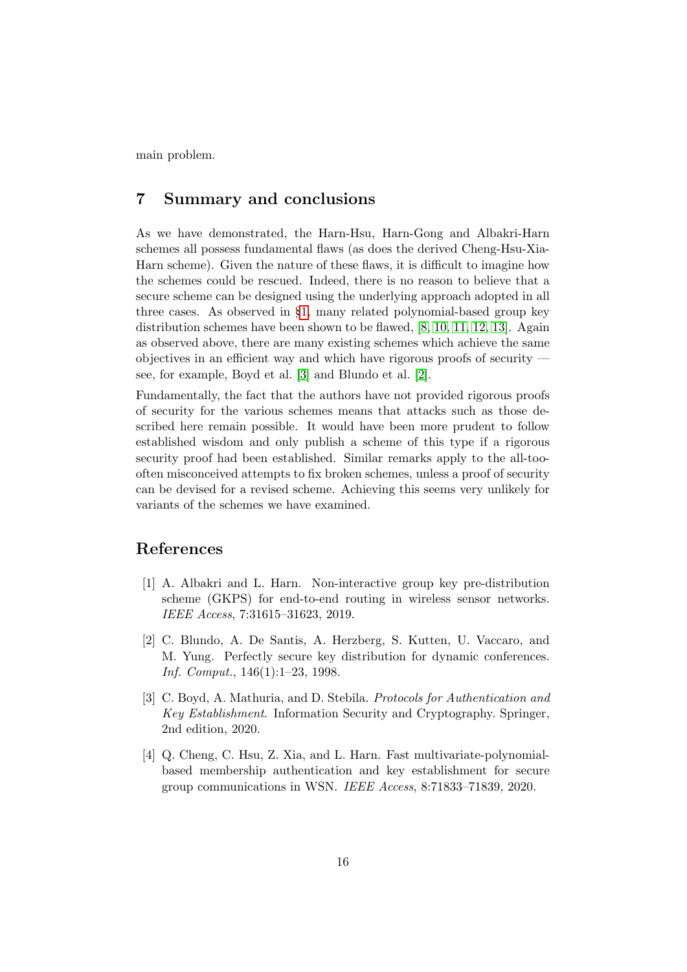main problem.

## <span id="page-15-3"></span>7 Summary and conclusions

As we have demonstrated, the Harn-Hsu, Harn-Gong and Albakri-Harn schemes all possess fundamental flaws (as does the derived Cheng-Hsu-Xia-Harn scheme). Given the nature of these flaws, it is difficult to imagine how the schemes could be rescued. Indeed, there is no reason to believe that a secure scheme can be designed using the underlying approach adopted in all three cases. As observed in §[1,](#page-1-1) many related polynomial-based group key distribution schemes have been shown to be flawed, [\[8,](#page-16-0) [10,](#page-16-1) [11,](#page-16-2) [12,](#page-16-3) [13\]](#page-16-4). Again as observed above, there are many existing schemes which achieve the same objectives in an efficient way and which have rigorous proofs of security see, for example, Boyd et al. [\[3\]](#page-15-1) and Blundo et al. [\[2\]](#page-15-0).

Fundamentally, the fact that the authors have not provided rigorous proofs of security for the various schemes means that attacks such as those described here remain possible. It would have been more prudent to follow established wisdom and only publish a scheme of this type if a rigorous security proof had been established. Similar remarks apply to the all-toooften misconceived attempts to fix broken schemes, unless a proof of security can be devised for a revised scheme. Achieving this seems very unlikely for variants of the schemes we have examined.

# References

- <span id="page-15-4"></span>[1] A. Albakri and L. Harn. Non-interactive group key pre-distribution scheme (GKPS) for end-to-end routing in wireless sensor networks. IEEE Access, 7:31615–31623, 2019.
- <span id="page-15-0"></span>[2] C. Blundo, A. De Santis, A. Herzberg, S. Kutten, U. Vaccaro, and M. Yung. Perfectly secure key distribution for dynamic conferences. Inf. Comput., 146(1):1–23, 1998.
- <span id="page-15-1"></span>[3] C. Boyd, A. Mathuria, and D. Stebila. Protocols for Authentication and Key Establishment. Information Security and Cryptography. Springer, 2nd edition, 2020.
- <span id="page-15-2"></span>[4] Q. Cheng, C. Hsu, Z. Xia, and L. Harn. Fast multivariate-polynomialbased membership authentication and key establishment for secure group communications in WSN. IEEE Access, 8:71833–71839, 2020.